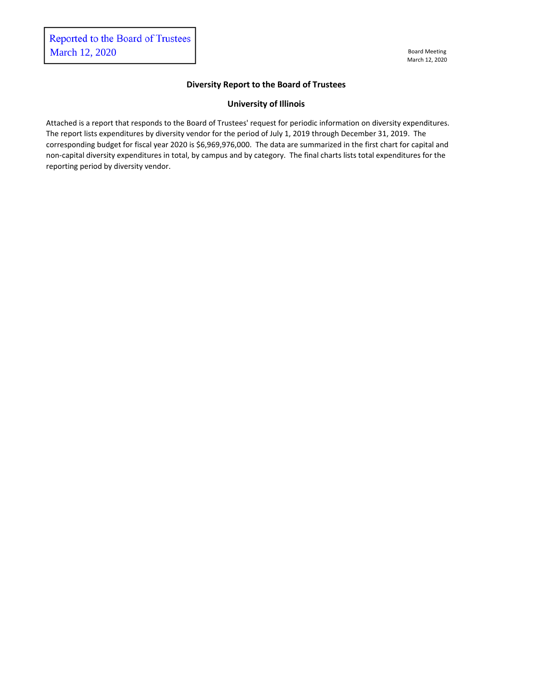## **Diversity Report to the Board of Trustees**

## **University of Illinois**

Attached is a report that responds to the Board of Trustees' request for periodic information on diversity expenditures. The report lists expenditures by diversity vendor for the period of July 1, 2019 through December 31, 2019. The corresponding budget for fiscal year 2020 is \$6,969,976,000. The data are summarized in the first chart for capital and non-capital diversity expenditures in total, by campus and by category. The final charts lists total expenditures for the reporting period by diversity vendor.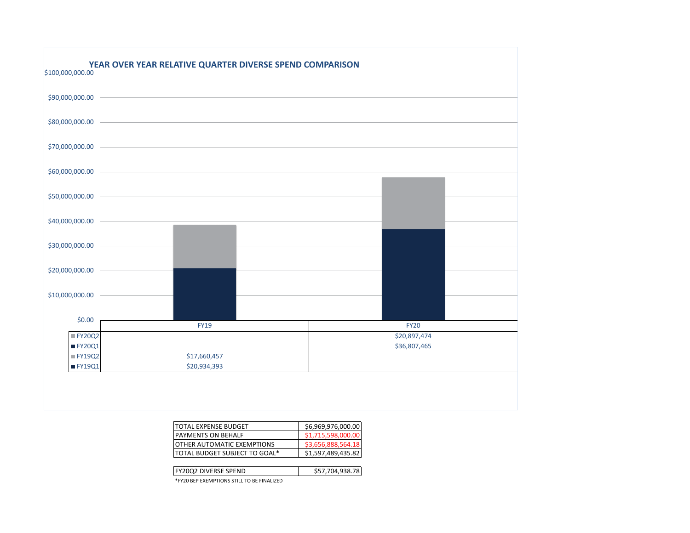

| <b>ITOTAL EXPENSE BUDGET</b>          | \$6,969,976,000.00 |
|---------------------------------------|--------------------|
| <b>IPAYMENTS ON BEHALF</b>            | \$1,715,598,000.00 |
| <b>IOTHER AUTOMATIC EXEMPTIONS</b>    | \$3,656,888,564.18 |
| <b>ITOTAL BUDGET SUBJECT TO GOAL*</b> | \$1,597,489,435.82 |
|                                       |                    |

| <b>IFY20Q2 DIVERSE SPEND</b>               | \$57.704.938.78 |
|--------------------------------------------|-----------------|
| *FY20 BEP EXEMPTIONS STILL TO BE FINALIZED |                 |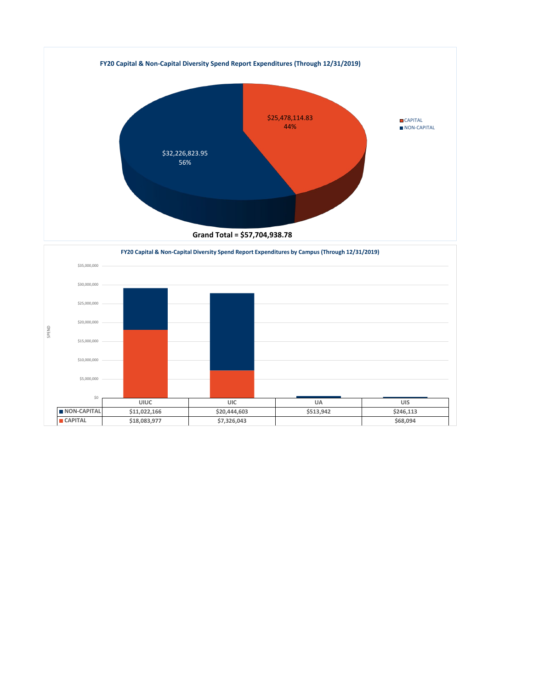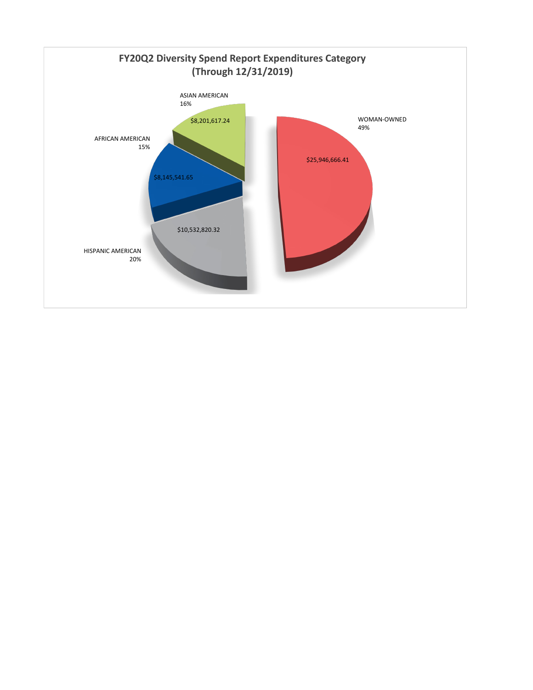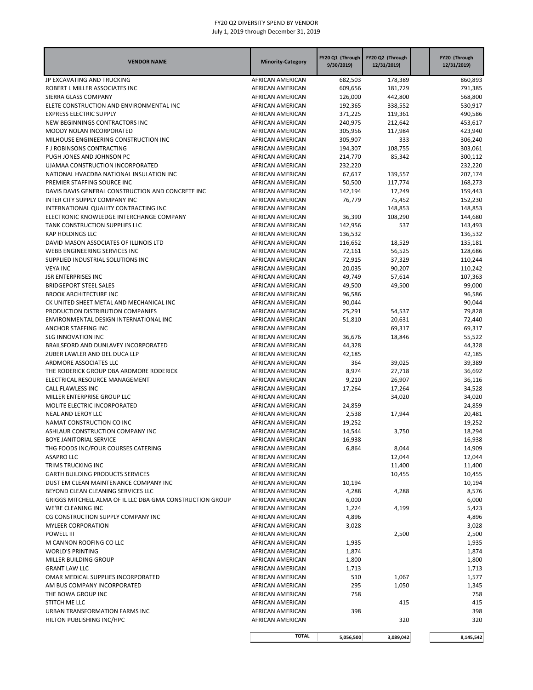| <b>VENDOR NAME</b>                                             | <b>Minority-Category</b>             | FY20 Q1 (Through<br>9/30/2019) | FY20 Q2 (Through<br>12/31/2019) | FY20 (Through<br>12/31/2019) |
|----------------------------------------------------------------|--------------------------------------|--------------------------------|---------------------------------|------------------------------|
| JP EXCAVATING AND TRUCKING                                     | AFRICAN AMERICAN                     | 682,503                        | 178,389                         | 860,893                      |
| ROBERT L MILLER ASSOCIATES INC                                 | AFRICAN AMERICAN                     | 609,656                        | 181,729                         | 791,385                      |
| SIERRA GLASS COMPANY                                           | AFRICAN AMERICAN                     | 126,000                        | 442,800                         | 568,800                      |
| ELETE CONSTRUCTION AND ENVIRONMENTAL INC                       | AFRICAN AMERICAN                     | 192,365                        | 338,552                         | 530,917                      |
| <b>EXPRESS ELECTRIC SUPPLY</b>                                 | AFRICAN AMERICAN                     | 371,225                        | 119,361                         | 490,586                      |
| NEW BEGINNINGS CONTRACTORS INC                                 | AFRICAN AMERICAN                     | 240,975                        | 212,642                         | 453,617                      |
| MOODY NOLAN INCORPORATED                                       | AFRICAN AMERICAN                     | 305,956                        | 117,984                         | 423,940                      |
| MILHOUSE ENGINEERING CONSTRUCTION INC                          | AFRICAN AMERICAN                     | 305,907                        | 333                             | 306,240                      |
| F J ROBINSONS CONTRACTING                                      | AFRICAN AMERICAN                     | 194,307                        | 108,755                         | 303,061                      |
| PUGH JONES AND JOHNSON PC                                      | AFRICAN AMERICAN                     | 214,770                        | 85,342                          | 300,112                      |
| UJAMAA CONSTRUCTION INCORPORATED                               | AFRICAN AMERICAN                     | 232,220                        |                                 | 232,220                      |
| NATIONAL HVACDBA NATIONAL INSULATION INC                       | AFRICAN AMERICAN                     | 67,617                         | 139,557                         | 207,174                      |
| PREMIER STAFFING SOURCE INC                                    | AFRICAN AMERICAN                     | 50,500                         | 117,774                         | 168,273                      |
| DAVIS DAVIS GENERAL CONSTRUCTION AND CONCRETE INC              | AFRICAN AMERICAN                     | 142,194                        | 17,249                          | 159,443                      |
| INTER CITY SUPPLY COMPANY INC                                  | AFRICAN AMERICAN                     | 76,779                         | 75,452                          | 152,230                      |
| INTERNATIONAL QUALITY CONTRACTING INC                          | AFRICAN AMERICAN                     |                                | 148,853                         | 148,853                      |
| ELECTRONIC KNOWLEDGE INTERCHANGE COMPANY                       | AFRICAN AMERICAN                     | 36,390                         | 108,290                         | 144,680                      |
| TANK CONSTRUCTION SUPPLIES LLC                                 | AFRICAN AMERICAN                     | 142,956                        | 537                             | 143,493                      |
| <b>KAP HOLDINGS LLC</b>                                        | AFRICAN AMERICAN                     | 136,532                        |                                 | 136,532                      |
| DAVID MASON ASSOCIATES OF ILLINOIS LTD                         | AFRICAN AMERICAN                     | 116,652                        | 18,529                          | 135,181                      |
| WEBB ENGINEERING SERVICES INC                                  | AFRICAN AMERICAN                     | 72,161                         | 56,525                          | 128,686                      |
| SUPPLIED INDUSTRIAL SOLUTIONS INC                              | AFRICAN AMERICAN                     | 72,915                         | 37,329                          | 110,244                      |
| <b>VEYA INC</b>                                                | AFRICAN AMERICAN                     | 20,035                         | 90,207                          | 110,242                      |
| <b>JSR ENTERPRISES INC</b>                                     | AFRICAN AMERICAN                     | 49,749                         | 57,614                          | 107,363                      |
| <b>BRIDGEPORT STEEL SALES</b>                                  | AFRICAN AMERICAN                     | 49,500                         | 49,500                          | 99,000                       |
| <b>BROOK ARCHITECTURE INC</b>                                  | AFRICAN AMERICAN                     | 96,586                         |                                 | 96,586                       |
| CK UNITED SHEET METAL AND MECHANICAL INC                       | AFRICAN AMERICAN                     | 90,044                         |                                 | 90,044                       |
| PRODUCTION DISTRIBUTION COMPANIES                              | AFRICAN AMERICAN                     | 25,291                         | 54,537                          | 79,828                       |
| ENVIRONMENTAL DESIGN INTERNATIONAL INC                         | AFRICAN AMERICAN                     | 51,810                         | 20,631                          | 72,440                       |
| ANCHOR STAFFING INC                                            | AFRICAN AMERICAN                     |                                | 69,317                          | 69,317                       |
| <b>SLG INNOVATION INC</b>                                      | AFRICAN AMERICAN                     | 36,676                         | 18,846                          | 55,522                       |
| BRAILSFORD AND DUNLAVEY INCORPORATED                           | AFRICAN AMERICAN                     | 44,328                         |                                 | 44,328                       |
| ZUBER LAWLER AND DEL DUCA LLP                                  | AFRICAN AMERICAN                     | 42,185                         |                                 | 42,185                       |
| ARDMORE ASSOCIATES LLC                                         | AFRICAN AMERICAN                     | 364                            | 39,025                          | 39,389                       |
| THE RODERICK GROUP DBA ARDMORE RODERICK                        | AFRICAN AMERICAN                     | 8,974                          | 27,718                          | 36,692                       |
| ELECTRICAL RESOURCE MANAGEMENT                                 | AFRICAN AMERICAN                     | 9,210                          | 26,907                          | 36,116                       |
| CALL FLAWLESS INC                                              | AFRICAN AMERICAN                     | 17,264                         | 17,264                          | 34,528                       |
| MILLER ENTERPRISE GROUP LLC                                    | AFRICAN AMERICAN                     |                                | 34,020                          | 34,020                       |
| MOLITE ELECTRIC INCORPORATED                                   | AFRICAN AMERICAN                     | 24,859                         |                                 | 24,859                       |
| <b>NEAL AND LEROY LLC</b>                                      | AFRICAN AMERICAN                     | 2,538                          | 17,944                          | 20,481                       |
| NAMAT CONSTRUCTION CO INC                                      | AFRICAN AMERICAN                     | 19,252                         |                                 | 19,252                       |
| ASHLAUR CONSTRUCTION COMPANY INC                               | AFRICAN AMERICAN                     | 14,544                         | 3,750                           | 18,294                       |
| BOYE JANITORIAL SERVICE<br>THG FOODS INC/FOUR COURSES CATERING | AFRICAN AMERICAN<br>AFRICAN AMERICAN | 16,938<br>6,864                |                                 | 16,938                       |
| <b>ASAPRO LLC</b>                                              | AFRICAN AMERICAN                     |                                | 8,044<br>12,044                 | 14,909<br>12,044             |
| TRIMS TRUCKING INC                                             |                                      |                                |                                 |                              |
| <b>GARTH BUILDING PRODUCTS SERVICES</b>                        | AFRICAN AMERICAN<br>AFRICAN AMERICAN |                                | 11,400                          | 11,400                       |
| DUST EM CLEAN MAINTENANCE COMPANY INC                          | AFRICAN AMERICAN                     |                                | 10,455                          | 10,455                       |
| BEYOND CLEAN CLEANING SERVICES LLC                             | AFRICAN AMERICAN                     | 10,194<br>4,288                | 4,288                           | 10,194<br>8,576              |
| GRIGGS MITCHELL ALMA OF IL LLC DBA GMA CONSTRUCTION GROUP      | AFRICAN AMERICAN                     | 6,000                          |                                 | 6,000                        |
| WE'RE CLEANING INC                                             | AFRICAN AMERICAN                     | 1,224                          | 4,199                           | 5,423                        |
| CG CONSTRUCTION SUPPLY COMPANY INC                             | AFRICAN AMERICAN                     | 4,896                          |                                 | 4,896                        |
| <b>MYLEER CORPORATION</b>                                      | AFRICAN AMERICAN                     | 3,028                          |                                 | 3,028                        |
| POWELL III                                                     | AFRICAN AMERICAN                     |                                | 2,500                           | 2,500                        |
| M CANNON ROOFING CO LLC                                        | AFRICAN AMERICAN                     | 1,935                          |                                 | 1,935                        |
| <b>WORLD'S PRINTING</b>                                        | AFRICAN AMERICAN                     | 1,874                          |                                 | 1,874                        |
| MILLER BUILDING GROUP                                          | AFRICAN AMERICAN                     | 1,800                          |                                 | 1,800                        |
| <b>GRANT LAW LLC</b>                                           | AFRICAN AMERICAN                     | 1,713                          |                                 | 1,713                        |
| OMAR MEDICAL SUPPLIES INCORPORATED                             | AFRICAN AMERICAN                     | 510                            | 1,067                           | 1,577                        |
| AM BUS COMPANY INCORPORATED                                    | AFRICAN AMERICAN                     | 295                            | 1,050                           | 1,345                        |
| THE BOWA GROUP INC                                             | AFRICAN AMERICAN                     | 758                            |                                 | 758                          |
| STITCH ME LLC                                                  | AFRICAN AMERICAN                     |                                | 415                             | 415                          |
| URBAN TRANSFORMATION FARMS INC                                 | AFRICAN AMERICAN                     | 398                            |                                 | 398                          |
| HILTON PUBLISHING INC/HPC                                      | AFRICAN AMERICAN                     |                                | 320                             | 320                          |
|                                                                | <b>TOTAL</b>                         | 5,056,500                      | 3,089,042                       | 8,145,542                    |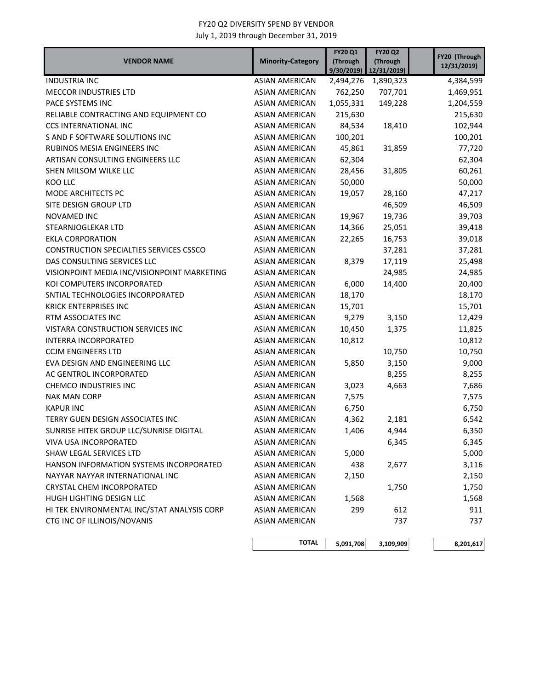| <b>VENDOR NAME</b>                          | <b>Minority-Category</b> | <b>FY20 Q1</b><br>(Through<br>9/30/2019 | <b>FY20 Q2</b><br>(Through<br>12/31/2019) | FY20 (Through<br>12/31/2019) |
|---------------------------------------------|--------------------------|-----------------------------------------|-------------------------------------------|------------------------------|
| <b>INDUSTRIA INC</b>                        | <b>ASIAN AMERICAN</b>    | 2,494,276                               | 1,890,323                                 | 4,384,599                    |
| <b>MECCOR INDUSTRIES LTD</b>                | ASIAN AMERICAN           | 762,250                                 | 707,701                                   | 1,469,951                    |
| PACE SYSTEMS INC                            | <b>ASIAN AMERICAN</b>    | 1,055,331                               | 149,228                                   | 1,204,559                    |
| RELIABLE CONTRACTING AND EQUIPMENT CO       | <b>ASIAN AMERICAN</b>    | 215,630                                 |                                           | 215,630                      |
| <b>CCS INTERNATIONAL INC</b>                | <b>ASIAN AMERICAN</b>    | 84,534                                  | 18,410                                    | 102,944                      |
| S AND F SOFTWARE SOLUTIONS INC              | <b>ASIAN AMERICAN</b>    | 100,201                                 |                                           | 100,201                      |
| <b>RUBINOS MESIA ENGINEERS INC</b>          | <b>ASIAN AMERICAN</b>    | 45,861                                  | 31,859                                    | 77,720                       |
| ARTISAN CONSULTING ENGINEERS LLC            | <b>ASIAN AMERICAN</b>    | 62,304                                  |                                           | 62,304                       |
| SHEN MILSOM WILKE LLC                       | <b>ASIAN AMERICAN</b>    | 28,456                                  | 31,805                                    | 60,261                       |
| KOO LLC                                     | <b>ASIAN AMERICAN</b>    | 50,000                                  |                                           | 50,000                       |
| MODE ARCHITECTS PC                          | <b>ASIAN AMERICAN</b>    | 19,057                                  | 28,160                                    | 47,217                       |
| SITE DESIGN GROUP LTD                       | <b>ASIAN AMERICAN</b>    |                                         | 46,509                                    | 46,509                       |
| NOVAMED INC                                 | <b>ASIAN AMERICAN</b>    | 19,967                                  | 19,736                                    | 39,703                       |
| STEARNJOGLEKAR LTD                          | <b>ASIAN AMERICAN</b>    | 14,366                                  | 25,051                                    | 39,418                       |
| <b>EKLA CORPORATION</b>                     | <b>ASIAN AMERICAN</b>    | 22,265                                  | 16,753                                    | 39,018                       |
| CONSTRUCTION SPECIALTIES SERVICES CSSCO     | <b>ASIAN AMERICAN</b>    |                                         | 37,281                                    | 37,281                       |
| DAS CONSULTING SERVICES LLC                 | <b>ASIAN AMERICAN</b>    | 8,379                                   | 17,119                                    | 25,498                       |
| VISIONPOINT MEDIA INC/VISIONPOINT MARKETING | <b>ASIAN AMERICAN</b>    |                                         | 24,985                                    | 24,985                       |
| KOI COMPUTERS INCORPORATED                  | <b>ASIAN AMERICAN</b>    | 6,000                                   | 14,400                                    | 20,400                       |
| SNTIAL TECHNOLOGIES INCORPORATED            | <b>ASIAN AMERICAN</b>    | 18,170                                  |                                           | 18,170                       |
| <b>KRICK ENTERPRISES INC</b>                | <b>ASIAN AMERICAN</b>    | 15,701                                  |                                           | 15,701                       |
| RTM ASSOCIATES INC                          | <b>ASIAN AMERICAN</b>    | 9,279                                   | 3,150                                     | 12,429                       |
| VISTARA CONSTRUCTION SERVICES INC           | <b>ASIAN AMERICAN</b>    | 10,450                                  | 1,375                                     | 11,825                       |
| <b>INTERRA INCORPORATED</b>                 | <b>ASIAN AMERICAN</b>    | 10,812                                  |                                           | 10,812                       |
| <b>CCJM ENGINEERS LTD</b>                   | <b>ASIAN AMERICAN</b>    |                                         | 10,750                                    | 10,750                       |
| EVA DESIGN AND ENGINEERING LLC              | <b>ASIAN AMERICAN</b>    | 5,850                                   | 3,150                                     | 9,000                        |
| AC GENTROL INCORPORATED                     | <b>ASIAN AMERICAN</b>    |                                         | 8,255                                     | 8,255                        |
| CHEMCO INDUSTRIES INC                       | <b>ASIAN AMERICAN</b>    | 3,023                                   | 4,663                                     | 7,686                        |
| <b>NAK MAN CORP</b>                         | <b>ASIAN AMERICAN</b>    | 7,575                                   |                                           | 7,575                        |
| <b>KAPUR INC</b>                            | <b>ASIAN AMERICAN</b>    | 6,750                                   |                                           | 6,750                        |
| TERRY GUEN DESIGN ASSOCIATES INC            | <b>ASIAN AMERICAN</b>    | 4,362                                   | 2,181                                     | 6,542                        |
| SUNRISE HITEK GROUP LLC/SUNRISE DIGITAL     | <b>ASIAN AMERICAN</b>    | 1,406                                   | 4,944                                     | 6,350                        |
| VIVA USA INCORPORATED                       | <b>ASIAN AMERICAN</b>    |                                         | 6,345                                     | 6,345                        |
| SHAW LEGAL SERVICES LTD                     | ASIAN AMERICAN           | 5,000                                   |                                           | 5,000                        |
| HANSON INFORMATION SYSTEMS INCORPORATED     | <b>ASIAN AMERICAN</b>    | 438                                     | 2,677                                     | 3,116                        |
| NAYYAR NAYYAR INTERNATIONAL INC             | <b>ASIAN AMERICAN</b>    | 2,150                                   |                                           | 2,150                        |
| <b>CRYSTAL CHEM INCORPORATED</b>            | <b>ASIAN AMERICAN</b>    |                                         | 1,750                                     | 1,750                        |
| HUGH LIGHTING DESIGN LLC                    | <b>ASIAN AMERICAN</b>    | 1,568                                   |                                           | 1,568                        |
| HI TEK ENVIRONMENTAL INC/STAT ANALYSIS CORP | ASIAN AMERICAN           | 299                                     | 612                                       | 911                          |
| CTG INC OF ILLINOIS/NOVANIS                 | <b>ASIAN AMERICAN</b>    |                                         | 737                                       | 737                          |
|                                             | <b>TOTAL</b>             | 5,091,708                               | 3,109,909                                 | 8,201,617                    |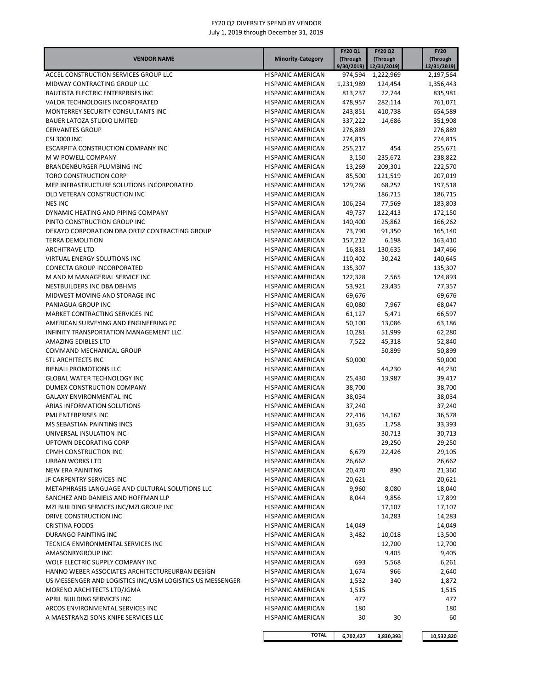|                                                           |                          | <b>FY20 Q1</b> | <b>FY20 Q2</b>           | <b>FY20</b> |
|-----------------------------------------------------------|--------------------------|----------------|--------------------------|-------------|
| <b>VENDOR NAME</b>                                        | <b>Minority-Category</b> | (Through       | (Through                 | (Through    |
| ACCEL CONSTRUCTION SERVICES GROUP LLC                     |                          | 9/30/2019)     | 12/31/2019)<br>1,222,969 | 12/31/2019) |
|                                                           | <b>HISPANIC AMERICAN</b> | 974,594        |                          | 2,197,564   |
| MIDWAY CONTRACTING GROUP LLC                              | <b>HISPANIC AMERICAN</b> | 1,231,989      | 124,454                  | 1,356,443   |
| <b>BAUTISTA ELECTRIC ENTERPRISES INC</b>                  | <b>HISPANIC AMERICAN</b> | 813,237        | 22,744                   | 835,981     |
| VALOR TECHNOLOGIES INCORPORATED                           | HISPANIC AMERICAN        | 478,957        | 282,114                  | 761,071     |
| MONTERREY SECURITY CONSULTANTS INC                        | <b>HISPANIC AMERICAN</b> | 243,851        | 410,738                  | 654,589     |
| <b>BAUER LATOZA STUDIO LIMITED</b>                        | <b>HISPANIC AMERICAN</b> | 337,222        | 14,686                   | 351,908     |
| <b>CERVANTES GROUP</b>                                    | <b>HISPANIC AMERICAN</b> | 276,889        |                          | 276,889     |
| <b>CSI 3000 INC</b>                                       | <b>HISPANIC AMERICAN</b> | 274,815        |                          | 274,815     |
| <b>ESCARPITA CONSTRUCTION COMPANY INC</b>                 | <b>HISPANIC AMERICAN</b> | 255,217        | 454                      | 255,671     |
| M W POWELL COMPANY                                        | <b>HISPANIC AMERICAN</b> | 3,150          | 235,672                  | 238,822     |
| BRANDENBURGER PLUMBING INC                                | <b>HISPANIC AMERICAN</b> | 13,269         | 209,301                  | 222,570     |
| <b>TORO CONSTRUCTION CORP</b>                             | HISPANIC AMERICAN        | 85,500         | 121,519                  | 207,019     |
| MEP INFRASTRUCTURE SOLUTIONS INCORPORATED                 | <b>HISPANIC AMERICAN</b> | 129,266        | 68,252                   | 197,518     |
| OLD VETERAN CONSTRUCTION INC                              | <b>HISPANIC AMERICAN</b> |                | 186,715                  | 186,715     |
| <b>NES INC</b>                                            | HISPANIC AMERICAN        | 106,234        | 77,569                   | 183,803     |
| DYNAMIC HEATING AND PIPING COMPANY                        | HISPANIC AMERICAN        | 49,737         | 122,413                  | 172,150     |
| PINTO CONSTRUCTION GROUP INC                              | <b>HISPANIC AMERICAN</b> | 140,400        | 25,862                   | 166,262     |
| DEKAYO CORPORATION DBA ORTIZ CONTRACTING GROUP            | <b>HISPANIC AMERICAN</b> | 73,790         | 91,350                   | 165,140     |
|                                                           |                          |                |                          |             |
| <b>TERRA DEMOLITION</b>                                   | <b>HISPANIC AMERICAN</b> | 157,212        | 6,198                    | 163,410     |
| <b>ARCHITRAVE LTD</b>                                     | <b>HISPANIC AMERICAN</b> | 16,831         | 130,635                  | 147,466     |
| VIRTUAL ENERGY SOLUTIONS INC                              | <b>HISPANIC AMERICAN</b> | 110,402        | 30,242                   | 140,645     |
| <b>CONECTA GROUP INCORPORATED</b>                         | <b>HISPANIC AMERICAN</b> | 135,307        |                          | 135,307     |
| M AND M MANAGERIAL SERVICE INC                            | <b>HISPANIC AMERICAN</b> | 122,328        | 2,565                    | 124,893     |
| NESTBUILDERS INC DBA DBHMS                                | <b>HISPANIC AMERICAN</b> | 53,921         | 23,435                   | 77,357      |
| MIDWEST MOVING AND STORAGE INC                            | <b>HISPANIC AMERICAN</b> | 69,676         |                          | 69,676      |
| PANIAGUA GROUP INC                                        | <b>HISPANIC AMERICAN</b> | 60,080         | 7,967                    | 68,047      |
| MARKET CONTRACTING SERVICES INC                           | <b>HISPANIC AMERICAN</b> | 61,127         | 5,471                    | 66,597      |
| AMERICAN SURVEYING AND ENGINEERING PC                     | <b>HISPANIC AMERICAN</b> | 50,100         | 13,086                   | 63,186      |
| INFINITY TRANSPORTATION MANAGEMENT LLC                    | <b>HISPANIC AMERICAN</b> | 10,281         | 51,999                   | 62,280      |
| AMAZING EDIBLES LTD                                       | <b>HISPANIC AMERICAN</b> | 7,522          | 45,318                   | 52,840      |
| COMMAND MECHANICAL GROUP                                  | <b>HISPANIC AMERICAN</b> |                | 50,899                   | 50,899      |
| <b>STL ARCHITECTS INC</b>                                 | <b>HISPANIC AMERICAN</b> | 50,000         |                          | 50,000      |
| <b>BIENALI PROMOTIONS LLC</b>                             | <b>HISPANIC AMERICAN</b> |                | 44,230                   | 44,230      |
| <b>GLOBAL WATER TECHNOLOGY INC</b>                        | <b>HISPANIC AMERICAN</b> | 25,430         | 13,987                   | 39,417      |
| DUMEX CONSTRUCTION COMPANY                                | <b>HISPANIC AMERICAN</b> | 38,700         |                          | 38,700      |
| <b>GALAXY ENVIRONMENTAL INC</b>                           | <b>HISPANIC AMERICAN</b> | 38,034         |                          | 38,034      |
|                                                           |                          |                |                          |             |
| ARIAS INFORMATION SOLUTIONS                               | <b>HISPANIC AMERICAN</b> | 37,240         |                          | 37,240      |
| PMJ ENTERPRISES INC                                       | <b>HISPANIC AMERICAN</b> | 22,416         | 14,162                   | 36,578      |
| MS SEBASTIAN PAINTING INCS                                | <b>HISPANIC AMERICAN</b> | 31,635         | 1,758                    | 33,393      |
| UNIVERSAL INSULATION INC                                  | <b>HISPANIC AMERICAN</b> |                | 30,713                   | 30,713      |
| UPTOWN DECORATING CORP                                    | <b>HISPANIC AMERICAN</b> |                | 29,250                   | 29,250      |
| CPMH CONSTRUCTION INC                                     | <b>HISPANIC AMERICAN</b> | 6,679          | 22,426                   | 29,105      |
| URBAN WORKS LTD                                           | <b>HISPANIC AMERICAN</b> | 26,662         |                          | 26,662      |
| <b>NEW ERA PAINITNG</b>                                   | HISPANIC AMERICAN        | 20,470         | 890                      | 21,360      |
| JF CARPENTRY SERVICES INC                                 | HISPANIC AMERICAN        | 20,621         |                          | 20,621      |
| METAPHRASIS LANGUAGE AND CULTURAL SOLUTIONS LLC           | <b>HISPANIC AMERICAN</b> | 9,960          | 8,080                    | 18,040      |
| SANCHEZ AND DANIELS AND HOFFMAN LLP                       | HISPANIC AMERICAN        | 8,044          | 9,856                    | 17,899      |
| MZI BUILDING SERVICES INC/MZI GROUP INC                   | HISPANIC AMERICAN        |                | 17,107                   | 17,107      |
| DRIVE CONSTRUCTION INC                                    | HISPANIC AMERICAN        |                | 14,283                   | 14,283      |
| <b>CRISTINA FOODS</b>                                     | <b>HISPANIC AMERICAN</b> | 14,049         |                          | 14,049      |
| DURANGO PAINTING INC                                      | <b>HISPANIC AMERICAN</b> |                |                          | 13,500      |
| TECNICA ENVIRONMENTAL SERVICES INC                        | <b>HISPANIC AMERICAN</b> | 3,482          | 10,018                   |             |
|                                                           |                          |                | 12,700                   | 12,700      |
| AMASONRYGROUP INC                                         | <b>HISPANIC AMERICAN</b> |                | 9,405                    | 9,405       |
| WOLF ELECTRIC SUPPLY COMPANY INC                          | HISPANIC AMERICAN        | 693            | 5,568                    | 6,261       |
| HANNO WEBER ASSOCIATES ARCHITECTUREURBAN DESIGN           | HISPANIC AMERICAN        | 1,674          | 966                      | 2,640       |
| US MESSENGER AND LOGISTICS INC/USM LOGISTICS US MESSENGER | HISPANIC AMERICAN        | 1,532          | 340                      | 1,872       |
| MORENO ARCHITECTS LTD/JGMA                                | HISPANIC AMERICAN        | 1,515          |                          | 1,515       |
| APRIL BUILDING SERVICES INC                               | <b>HISPANIC AMERICAN</b> | 477            |                          | 477         |
| ARCOS ENVIRONMENTAL SERVICES INC                          | HISPANIC AMERICAN        | 180            |                          | 180         |
| A MAESTRANZI SONS KNIFE SERVICES LLC                      | HISPANIC AMERICAN        | 30             | 30                       | 60          |
|                                                           |                          |                |                          |             |
|                                                           | <b>TOTAL</b>             | 6,702,427      | 3,830,393                | 10,532,820  |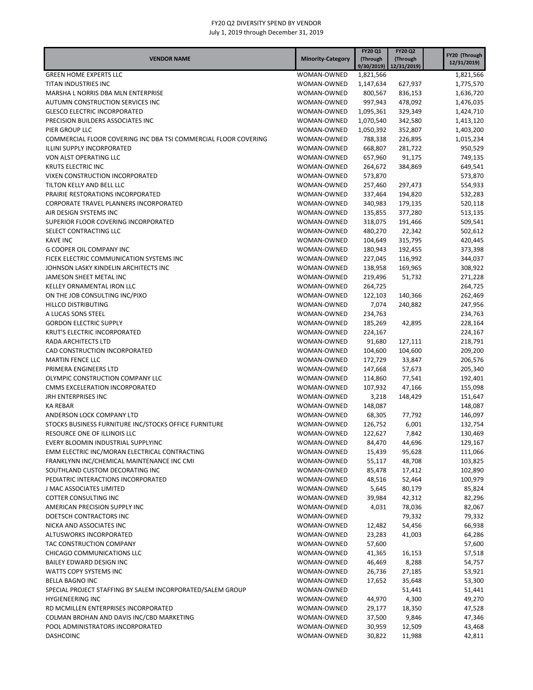| <b>VENDOR NAME</b><br><b>Minority-Category</b>                                                                  | (Through<br>9/30/2019 | (Through           |                        |
|-----------------------------------------------------------------------------------------------------------------|-----------------------|--------------------|------------------------|
|                                                                                                                 |                       | 12/31/2019)        | 12/31/2019)            |
| <b>GREEN HOME EXPERTS LLC</b><br>WOMAN-OWNED                                                                    | 1,821,566             |                    | 1,821,566              |
| TITAN INDUSTRIES INC<br>WOMAN-OWNED                                                                             | 1,147,634             | 627,937            | 1,775,570              |
| MARSHA L NORRIS DBA MLN ENTERPRISE<br>WOMAN-OWNED                                                               | 800,567               | 836,153            | 1,636,720              |
| AUTUMN CONSTRUCTION SERVICES INC<br>WOMAN-OWNED                                                                 | 997,943               | 478,092            | 1,476,035              |
| <b>GLESCO ELECTRIC INCORPORATED</b><br>WOMAN-OWNED                                                              | 1,095,361             | 329,349            | 1,424,710              |
| PRECISION BUILDERS ASSOCIATES INC<br>WOMAN-OWNED                                                                | 1,070,540             | 342,580            | 1,413,120              |
| PIER GROUP LLC<br>WOMAN-OWNED<br>COMMERCIAL FLOOR COVERING INC DBA TSI COMMERCIAL FLOOR COVERING<br>WOMAN-OWNED | 1,050,392<br>788,338  | 352,807<br>226,895 | 1,403,200<br>1,015,234 |
| ILLINI SUPPLY INCORPORATED<br>WOMAN-OWNED                                                                       | 668,807               | 281,722            | 950,529                |
| VON ALST OPERATING LLC<br>WOMAN-OWNED                                                                           | 657,960               | 91,175             | 749,135                |
| <b>KRUTS ELECTRIC INC</b><br>WOMAN-OWNED                                                                        | 264,672               | 384,869            | 649,541                |
| VIXEN CONSTRUCTION INCORPORATED<br>WOMAN-OWNED                                                                  | 573,870               |                    | 573,870                |
| TILTON KELLY AND BELL LLC<br>WOMAN-OWNED                                                                        | 257,460               | 297,473            | 554,933                |
| PRAIRIE RESTORATIONS INCORPORATED<br>WOMAN-OWNED                                                                | 337,464               | 194,820            | 532,283                |
| CORPORATE TRAVEL PLANNERS INCORPORATED<br>WOMAN-OWNED                                                           | 340,983               | 179,135            | 520,118                |
| AIR DESIGN SYSTEMS INC<br>WOMAN-OWNED                                                                           | 135,855               | 377,280            | 513,135                |
| SUPERIOR FLOOR COVERING INCORPORATED<br>WOMAN-OWNED                                                             | 318,075               | 191,466            | 509,541                |
| SELECT CONTRACTING LLC<br>WOMAN-OWNED                                                                           | 480,270               | 22,342             | 502,612                |
| <b>KAVE INC</b><br>WOMAN-OWNED<br><b>G COOPER OIL COMPANY INC</b><br>WOMAN-OWNED                                | 104,649<br>180,943    | 315,795<br>192,455 | 420,445                |
| FICEK ELECTRIC COMMUNICATION SYSTEMS INC<br>WOMAN-OWNED                                                         | 227,045               | 116,992            | 373,398<br>344,037     |
| JOHNSON LASKY KINDELIN ARCHITECTS INC<br>WOMAN-OWNED                                                            | 138,958               | 169,965            | 308,922                |
| JAMESON SHEET METAL INC<br>WOMAN-OWNED                                                                          | 219,496               | 51,732             | 271,228                |
| KELLEY ORNAMENTAL IRON LLC<br>WOMAN-OWNED                                                                       | 264,725               |                    | 264,725                |
| ON THE JOB CONSULTING INC/PIXO<br>WOMAN-OWNED                                                                   | 122,103               | 140,366            | 262,469                |
| HILLCO DISTRIBUTING<br>WOMAN-OWNED                                                                              | 7,074                 | 240,882            | 247,956                |
| A LUCAS SONS STEEL<br>WOMAN-OWNED                                                                               | 234,763               |                    | 234,763                |
| <b>GORDON ELECTRIC SUPPLY</b><br>WOMAN-OWNED                                                                    | 185,269               | 42,895             | 228,164                |
| KRUT'S ELECTRIC INCORPORATED<br>WOMAN-OWNED                                                                     | 224,167               |                    | 224,167                |
| RADA ARCHITECTS LTD<br>WOMAN-OWNED                                                                              | 91,680                | 127,111            | 218,791                |
| CAD CONSTRUCTION INCORPORATED<br>WOMAN-OWNED<br><b>MARTIN FENCE LLC</b>                                         | 104,600               | 104,600            | 209,200                |
| WOMAN-OWNED<br>PRIMERA ENGINEERS LTD<br>WOMAN-OWNED                                                             | 172,729<br>147,668    | 33,847<br>57,673   | 206,576<br>205,340     |
| OLYMPIC CONSTRUCTION COMPANY LLC<br>WOMAN-OWNED                                                                 | 114,860               | 77,541             | 192,401                |
| CMMS EXCELERATION INCORPORATED<br>WOMAN-OWNED                                                                   | 107,932               | 47,166             | 155,098                |
| JRH ENTERPRISES INC<br>WOMAN-OWNED                                                                              | 3,218                 | 148,429            | 151,647                |
| <b>KA REBAR</b><br>WOMAN-OWNED                                                                                  | 148,087               |                    | 148,087                |
| ANDERSON LOCK COMPANY LTD<br>WOMAN-OWNED                                                                        | 68,305                | 77,792             | 146,097                |
| STOCKS BUSINESS FURNITURE INC/STOCKS OFFICE FURNITURE<br>WOMAN-OWNED                                            | 126,752               | 6,001              | 132,754                |
| RESOURCE ONE OF ILLINOIS LLC<br>WOMAN-OWNED                                                                     | 122,627               | 7,842              | 130,469                |
| EVERY BLOOMIN INDUSTRIAL SUPPLYINC<br>WOMAN-OWNED                                                               | 84,470                | 44,696             | 129,167                |
| EMM ELECTRIC INC/MORAN ELECTRICAL CONTRACTING<br>WOMAN-OWNED                                                    | 15,439                | 95,628             | 111,066                |
| FRANKLYNN INC/CHEMICAL MAINTENANCE INC CMI<br>WOMAN-OWNED                                                       | 55,117                | 48,708             | 103,825                |
| SOUTHLAND CUSTOM DECORATING INC<br>WOMAN-OWNED                                                                  | 85,478                | 17,412             | 102,890                |
| PEDIATRIC INTERACTIONS INCORPORATED<br>WOMAN-OWNED<br>J MAC ASSOCIATES LIMITED<br>WOMAN-OWNED                   | 48,516<br>5,645       | 52,464<br>80,179   | 100,979<br>85,824      |
| <b>COTTER CONSULTING INC</b><br>WOMAN-OWNED                                                                     | 39,984                | 42,312             | 82,296                 |
| AMERICAN PRECISION SUPPLY INC<br>WOMAN-OWNED                                                                    | 4,031                 | 78,036             | 82,067                 |
| DOETSCH CONTRACTORS INC<br>WOMAN-OWNED                                                                          |                       | 79,332             | 79,332                 |
| NICKA AND ASSOCIATES INC<br>WOMAN-OWNED                                                                         | 12,482                | 54,456             | 66,938                 |
| ALTUSWORKS INCORPORATED<br>WOMAN-OWNED                                                                          | 23,283                | 41,003             | 64,286                 |
| TAC CONSTRUCTION COMPANY<br>WOMAN-OWNED                                                                         | 57,600                |                    | 57,600                 |
| CHICAGO COMMUNICATIONS LLC<br>WOMAN-OWNED                                                                       | 41,365                | 16,153             | 57,518                 |
| BAILEY EDWARD DESIGN INC<br>WOMAN-OWNED                                                                         | 46,469                | 8,288              | 54,757                 |
| WATTS COPY SYSTEMS INC<br>WOMAN-OWNED                                                                           | 26,736                | 27,185             | 53,921                 |
| BELLA BAGNO INC<br>WOMAN-OWNED                                                                                  | 17,652                | 35,648             | 53,300                 |
| SPECIAL PROJECT STAFFING BY SALEM INCORPORATED/SALEM GROUP<br>WOMAN-OWNED<br><b>HYGIENEERING INC</b>            |                       | 51,441<br>4,300    | 51,441                 |
| WOMAN-OWNED<br>RD MCMILLEN ENTERPRISES INCORPORATED<br>WOMAN-OWNED                                              | 44,970<br>29,177      | 18,350             | 49,270<br>47,528       |
| COLMAN BROHAN AND DAVIS INC/CBD MARKETING<br>WOMAN-OWNED                                                        | 37,500                | 9,846              | 47,346                 |
| POOL ADMINISTRATORS INCORPORATED<br>WOMAN-OWNED                                                                 | 30,959                | 12,509             | 43,468                 |
| <b>DASHCOINC</b><br>WOMAN-OWNED                                                                                 | 30,822                | 11,988             | 42,811                 |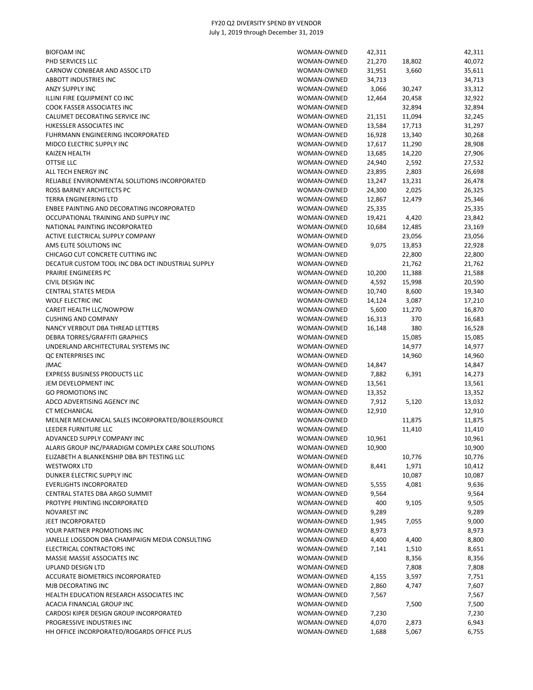| <b>BIOFOAM INC</b>                                 | WOMAN-OWNED | 42,311 |        | 42,311 |
|----------------------------------------------------|-------------|--------|--------|--------|
| PHD SERVICES LLC                                   | WOMAN-OWNED | 21,270 | 18,802 | 40,072 |
| CARNOW CONIBEAR AND ASSOC LTD                      | WOMAN-OWNED | 31,951 | 3,660  | 35,611 |
| ABBOTT INDUSTRIES INC                              | WOMAN-OWNED | 34,713 |        | 34,713 |
| ANZY SUPPLY INC                                    | WOMAN-OWNED | 3,066  | 30,247 | 33,312 |
| ILLINI FIRE EQUIPMENT CO INC                       | WOMAN-OWNED | 12,464 | 20,458 | 32,922 |
| COOK FASSER ASSOCIATES INC                         | WOMAN-OWNED |        | 32,894 | 32,894 |
| CALUMET DECORATING SERVICE INC                     | WOMAN-OWNED | 21,151 | 11,094 | 32,245 |
| HJKESSLER ASSOCIATES INC                           | WOMAN-OWNED | 13,584 | 17,713 | 31,297 |
| FUHRMANN ENGINEERING INCORPORATED                  | WOMAN-OWNED | 16,928 | 13,340 | 30,268 |
| MIDCO ELECTRIC SUPPLY INC                          | WOMAN-OWNED | 17,617 | 11,290 | 28,908 |
| <b>KAIZEN HEALTH</b>                               | WOMAN-OWNED | 13,685 | 14,220 | 27,906 |
| <b>OTTSIE LLC</b>                                  | WOMAN-OWNED | 24,940 | 2,592  | 27,532 |
| ALL TECH ENERGY INC                                | WOMAN-OWNED | 23,895 | 2,803  | 26,698 |
| RELIABLE ENVIRONMENTAL SOLUTIONS INCORPORATED      | WOMAN-OWNED | 13,247 | 13,231 | 26,478 |
| ROSS BARNEY ARCHITECTS PC                          | WOMAN-OWNED | 24,300 | 2,025  | 26,325 |
| TERRA ENGINEERING LTD                              | WOMAN-OWNED | 12,867 | 12,479 | 25,346 |
| ENBEE PAINTING AND DECORATING INCORPORATED         | WOMAN-OWNED | 25,335 |        | 25,335 |
| OCCUPATIONAL TRAINING AND SUPPLY INC               | WOMAN-OWNED | 19,421 | 4,420  | 23,842 |
| NATIONAL PAINTING INCORPORATED                     | WOMAN-OWNED | 10,684 | 12,485 | 23,169 |
| ACTIVE ELECTRICAL SUPPLY COMPANY                   | WOMAN-OWNED |        | 23,056 | 23,056 |
| AMS ELITE SOLUTIONS INC                            | WOMAN-OWNED | 9,075  | 13,853 | 22,928 |
| CHICAGO CUT CONCRETE CUTTING INC                   | WOMAN-OWNED |        | 22,800 | 22,800 |
| DECATUR CUSTOM TOOL INC DBA DCT INDUSTRIAL SUPPLY  | WOMAN-OWNED |        | 21,762 | 21,762 |
| PRAIRIE ENGINEERS PC                               | WOMAN-OWNED | 10,200 | 11,388 | 21,588 |
| CIVIL DESIGN INC                                   | WOMAN-OWNED | 4,592  | 15,998 | 20,590 |
| <b>CENTRAL STATES MEDIA</b>                        | WOMAN-OWNED | 10,740 | 8,600  | 19,340 |
| <b>WOLF ELECTRIC INC</b>                           | WOMAN-OWNED | 14,124 | 3,087  | 17,210 |
| CAREIT HEALTH LLC/NOWPOW                           | WOMAN-OWNED | 5,600  | 11,270 | 16,870 |
| <b>CUSHING AND COMPANY</b>                         | WOMAN-OWNED | 16,313 | 370    | 16,683 |
| NANCY VERBOUT DBA THREAD LETTERS                   | WOMAN-OWNED | 16,148 | 380    | 16,528 |
| DEBRA TORRES/GRAFFITI GRAPHICS                     | WOMAN-OWNED |        | 15,085 | 15,085 |
| UNDERLAND ARCHITECTURAL SYSTEMS INC                | WOMAN-OWNED |        | 14,977 | 14,977 |
| QC ENTERPRISES INC                                 | WOMAN-OWNED |        | 14,960 | 14,960 |
| <b>JMAC</b>                                        | WOMAN-OWNED | 14,847 |        | 14,847 |
| EXPRESS BUSINESS PRODUCTS LLC                      | WOMAN-OWNED | 7,882  | 6,391  | 14,273 |
| JEM DEVELOPMENT INC                                | WOMAN-OWNED | 13,561 |        | 13,561 |
| <b>GO PROMOTIONS INC</b>                           | WOMAN-OWNED | 13,352 |        | 13,352 |
| ADCO ADVERTISING AGENCY INC                        | WOMAN-OWNED | 7,912  | 5,120  | 13,032 |
| <b>CT MECHANICAL</b>                               | WOMAN-OWNED | 12,910 |        | 12,910 |
| MEILNER MECHANICAL SALES INCORPORATED/BOILERSOURCE | WOMAN-OWNED |        | 11,875 | 11,875 |
| LEEDER FURNITURE LLC                               | WOMAN-OWNED |        | 11,410 | 11,410 |
| ADVANCED SUPPLY COMPANY INC                        | WOMAN-OWNED | 10,961 |        | 10,961 |
| ALARIS GROUP INC/PARADIGM COMPLEX CARE SOLUTIONS   | WOMAN-OWNED | 10,900 |        | 10,900 |
| ELIZABETH A BLANKENSHIP DBA BPI TESTING LLC        | WOMAN-OWNED |        | 10,776 | 10,776 |
| <b>WESTWORX LTD</b>                                | WOMAN-OWNED | 8,441  | 1,971  | 10,412 |
| DUNKER ELECTRIC SUPPLY INC                         | WOMAN-OWNED |        | 10,087 | 10,087 |
| <b>EVERLIGHTS INCORPORATED</b>                     | WOMAN-OWNED | 5,555  | 4,081  | 9,636  |
| CENTRAL STATES DBA ARGO SUMMIT                     | WOMAN-OWNED | 9,564  |        | 9,564  |
| PROTYPE PRINTING INCORPORATED                      | WOMAN-OWNED | 400    | 9,105  | 9,505  |
| <b>NOVAREST INC</b>                                | WOMAN-OWNED | 9,289  |        | 9,289  |
| JEET INCORPORATED                                  | WOMAN-OWNED | 1,945  | 7,055  | 9,000  |
| YOUR PARTNER PROMOTIONS INC                        | WOMAN-OWNED | 8,973  |        | 8,973  |
| JANELLE LOGSDON DBA CHAMPAIGN MEDIA CONSULTING     | WOMAN-OWNED | 4,400  | 4,400  | 8,800  |
| ELECTRICAL CONTRACTORS INC                         | WOMAN-OWNED | 7,141  | 1,510  | 8,651  |
| MASSIE MASSIE ASSOCIATES INC                       | WOMAN-OWNED |        | 8,356  | 8,356  |
| <b>UPLAND DESIGN LTD</b>                           | WOMAN-OWNED |        | 7,808  | 7,808  |
| ACCURATE BIOMETRICS INCORPORATED                   | WOMAN-OWNED | 4,155  | 3,597  | 7,751  |
| MJB DECORATING INC                                 | WOMAN-OWNED | 2,860  | 4,747  | 7,607  |
| HEALTH EDUCATION RESEARCH ASSOCIATES INC           | WOMAN-OWNED | 7,567  |        | 7,567  |
| ACACIA FINANCIAL GROUP INC                         | WOMAN-OWNED |        | 7,500  | 7,500  |
| CARDOSI KIPER DESIGN GROUP INCORPORATED            | WOMAN-OWNED | 7,230  |        | 7,230  |
| PROGRESSIVE INDUSTRIES INC                         | WOMAN-OWNED | 4,070  | 2,873  | 6,943  |
| HH OFFICE INCORPORATED/ROGARDS OFFICE PLUS         | WOMAN-OWNED | 1,688  | 5,067  | 6,755  |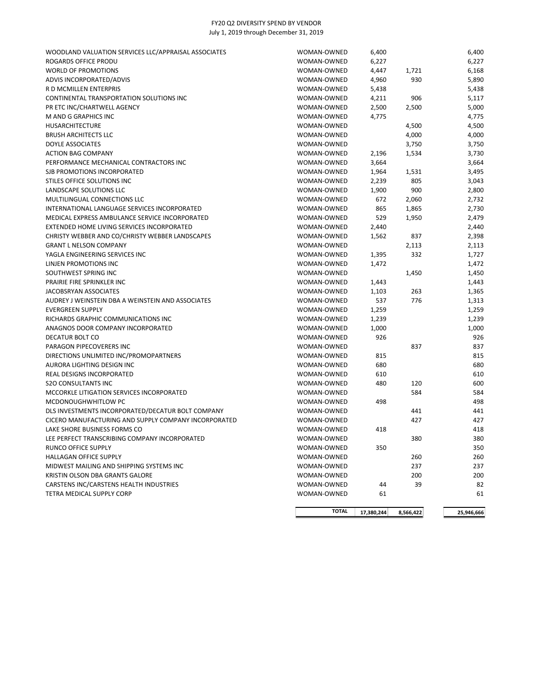| WOODLAND VALUATION SERVICES LLC/APPRAISAL ASSOCIATES | WOMAN-OWNED  | 6,400      |           | 6,400      |
|------------------------------------------------------|--------------|------------|-----------|------------|
| ROGARDS OFFICE PRODU                                 | WOMAN-OWNED  | 6,227      |           | 6,227      |
| <b>WORLD OF PROMOTIONS</b>                           | WOMAN-OWNED  | 4,447      | 1,721     | 6,168      |
| ADVIS INCORPORATED/ADVIS                             | WOMAN-OWNED  | 4,960      | 930       | 5,890      |
| R D MCMILLEN ENTERPRIS                               | WOMAN-OWNED  | 5,438      |           | 5,438      |
| CONTINENTAL TRANSPORTATION SOLUTIONS INC             | WOMAN-OWNED  | 4,211      | 906       | 5,117      |
| PR ETC INC/CHARTWELL AGENCY                          | WOMAN-OWNED  | 2,500      | 2,500     | 5,000      |
| M AND G GRAPHICS INC                                 | WOMAN-OWNED  | 4,775      |           | 4,775      |
| <b>HUSARCHITECTURE</b>                               | WOMAN-OWNED  |            | 4,500     | 4,500      |
| <b>BRUSH ARCHITECTS LLC</b>                          | WOMAN-OWNED  |            | 4,000     | 4,000      |
| DOYLE ASSOCIATES                                     | WOMAN-OWNED  |            | 3,750     | 3,750      |
| <b>ACTION BAG COMPANY</b>                            | WOMAN-OWNED  | 2,196      | 1,534     | 3,730      |
| PERFORMANCE MECHANICAL CONTRACTORS INC               | WOMAN-OWNED  | 3,664      |           | 3,664      |
| SJB PROMOTIONS INCORPORATED                          | WOMAN-OWNED  | 1,964      | 1,531     | 3,495      |
| STILES OFFICE SOLUTIONS INC                          | WOMAN-OWNED  | 2,239      | 805       | 3,043      |
| LANDSCAPE SOLUTIONS LLC                              | WOMAN-OWNED  | 1,900      | 900       | 2,800      |
| MULTILINGUAL CONNECTIONS LLC                         | WOMAN-OWNED  | 672        | 2,060     | 2,732      |
| INTERNATIONAL LANGUAGE SERVICES INCORPORATED         | WOMAN-OWNED  | 865        | 1,865     | 2,730      |
| MEDICAL EXPRESS AMBULANCE SERVICE INCORPORATED       | WOMAN-OWNED  | 529        | 1,950     | 2,479      |
| EXTENDED HOME LIVING SERVICES INCORPORATED           | WOMAN-OWNED  | 2,440      |           | 2,440      |
| CHRISTY WEBBER AND CO/CHRISTY WEBBER LANDSCAPES      | WOMAN-OWNED  | 1,562      | 837       | 2,398      |
| <b>GRANT L NELSON COMPANY</b>                        | WOMAN-OWNED  |            | 2,113     | 2,113      |
| YAGLA ENGINEERING SERVICES INC                       | WOMAN-OWNED  | 1,395      | 332       | 1,727      |
| LINJEN PROMOTIONS INC                                | WOMAN-OWNED  | 1,472      |           | 1,472      |
| SOUTHWEST SPRING INC                                 | WOMAN-OWNED  |            | 1,450     | 1,450      |
| PRAIRIE FIRE SPRINKLER INC                           | WOMAN-OWNED  | 1,443      |           | 1,443      |
| JACOBSRYAN ASSOCIATES                                | WOMAN-OWNED  | 1,103      | 263       | 1,365      |
| AUDREY J WEINSTEIN DBA A WEINSTEIN AND ASSOCIATES    | WOMAN-OWNED  | 537        | 776       | 1,313      |
| <b>EVERGREEN SUPPLY</b>                              | WOMAN-OWNED  | 1,259      |           | 1,259      |
| RICHARDS GRAPHIC COMMUNICATIONS INC                  | WOMAN-OWNED  | 1,239      |           | 1,239      |
| ANAGNOS DOOR COMPANY INCORPORATED                    | WOMAN-OWNED  | 1,000      |           | 1,000      |
| DECATUR BOLT CO                                      | WOMAN-OWNED  | 926        |           | 926        |
| PARAGON PIPECOVERERS INC                             | WOMAN-OWNED  |            | 837       | 837        |
| DIRECTIONS UNLIMITED INC/PROMOPARTNERS               | WOMAN-OWNED  | 815        |           | 815        |
| AURORA LIGHTING DESIGN INC                           | WOMAN-OWNED  | 680        |           | 680        |
| REAL DESIGNS INCORPORATED                            | WOMAN-OWNED  | 610        |           | 610        |
| <b>S2O CONSULTANTS INC</b>                           | WOMAN-OWNED  | 480        | 120       | 600        |
| MCCORKLE LITIGATION SERVICES INCORPORATED            | WOMAN-OWNED  |            | 584       | 584        |
| MCDONOUGHWHITLOW PC                                  | WOMAN-OWNED  | 498        |           | 498        |
| DLS INVESTMENTS INCORPORATED/DECATUR BOLT COMPANY    | WOMAN-OWNED  |            | 441       | 441        |
| CICERO MANUFACTURING AND SUPPLY COMPANY INCORPORATED | WOMAN-OWNED  |            | 427       | 427        |
| LAKE SHORE BUSINESS FORMS CO                         | WOMAN-OWNED  | 418        |           | 418        |
| LEE PERFECT TRANSCRIBING COMPANY INCORPORATED        | WOMAN-OWNED  |            | 380       | 380        |
| RUNCO OFFICE SUPPLY                                  | WOMAN-OWNED  | 350        |           | 350        |
| HALLAGAN OFFICE SUPPLY                               | WOMAN-OWNED  |            | 260       | 260        |
| MIDWEST MAILING AND SHIPPING SYSTEMS INC             | WOMAN-OWNED  |            | 237       | 237        |
| KRISTIN OLSON DBA GRANTS GALORE                      | WOMAN-OWNED  |            | 200       | 200        |
| CARSTENS INC/CARSTENS HEALTH INDUSTRIES              | WOMAN-OWNED  | 44         | 39        | 82         |
| TETRA MEDICAL SUPPLY CORP                            | WOMAN-OWNED  | 61         |           | 61         |
|                                                      | <b>TOTAL</b> | 17,380,244 | 8,566,422 | 25,946,666 |
|                                                      |              |            |           |            |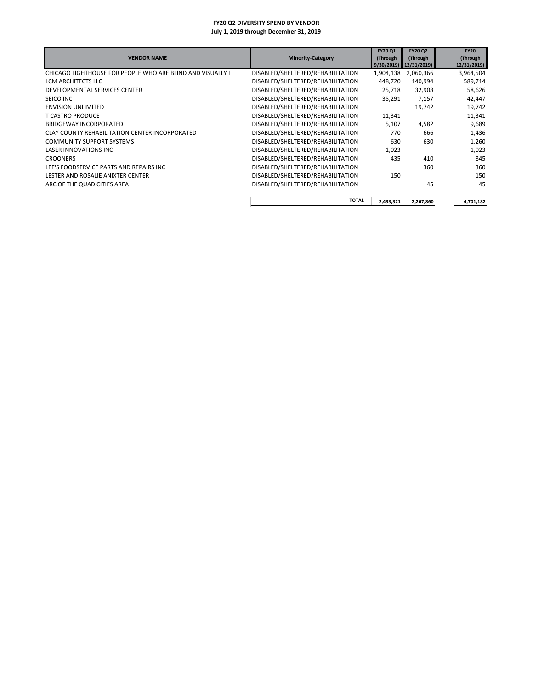| <b>VENDOR NAME</b>                                         | <b>Minority-Category</b>          | FY20 Q1<br>(Through<br>9/30/2019 | <b>FY20 Q2</b><br>(Through<br>12/31/2019 | <b>FY20</b><br>(Through<br>12/31/2019) |
|------------------------------------------------------------|-----------------------------------|----------------------------------|------------------------------------------|----------------------------------------|
| CHICAGO LIGHTHOUSE FOR PEOPLE WHO ARE BLIND AND VISUALLY I | DISABLED/SHELTERED/REHABILITATION | 1,904,138                        | 2,060,366                                | 3,964,504                              |
| LCM ARCHITECTS LLC                                         | DISABLED/SHELTERED/REHABILITATION | 448.720                          | 140,994                                  | 589,714                                |
| DEVELOPMENTAL SERVICES CENTER                              | DISABLED/SHELTERED/REHABILITATION | 25,718                           | 32,908                                   | 58,626                                 |
| SEICO INC                                                  | DISABLED/SHELTERED/REHABILITATION | 35,291                           | 7,157                                    | 42,447                                 |
| <b>ENVISION UNLIMITED</b>                                  | DISABLED/SHELTERED/REHABILITATION |                                  | 19,742                                   | 19,742                                 |
| <b>T CASTRO PRODUCE</b>                                    | DISABLED/SHELTERED/REHABILITATION | 11,341                           |                                          | 11,341                                 |
| <b>BRIDGEWAY INCORPORATED</b>                              | DISABLED/SHELTERED/REHABILITATION | 5,107                            | 4,582                                    | 9,689                                  |
| CLAY COUNTY REHABILITATION CENTER INCORPORATED             | DISABLED/SHELTERED/REHABILITATION | 770                              | 666                                      | 1,436                                  |
| <b>COMMUNITY SUPPORT SYSTEMS</b>                           | DISABLED/SHELTERED/REHABILITATION | 630                              | 630                                      | 1,260                                  |
| <b>LASER INNOVATIONS INC</b>                               | DISABLED/SHELTERED/REHABILITATION | 1,023                            |                                          | 1,023                                  |
| <b>CROONERS</b>                                            | DISABLED/SHELTERED/REHABILITATION | 435                              | 410                                      | 845                                    |
| LEE'S FOODSERVICE PARTS AND REPAIRS INC                    | DISABLED/SHELTERED/REHABILITATION |                                  | 360                                      | 360                                    |
| LESTER AND ROSALIE ANIXTER CENTER                          | DISABLED/SHELTERED/REHABILITATION | 150                              |                                          | 150                                    |
| ARC OF THE QUAD CITIES AREA                                | DISABLED/SHELTERED/REHABILITATION |                                  | 45                                       | 45                                     |
|                                                            | <b>TOTAL</b>                      | 2,433,321                        | 2,267,860                                | 4,701,182                              |